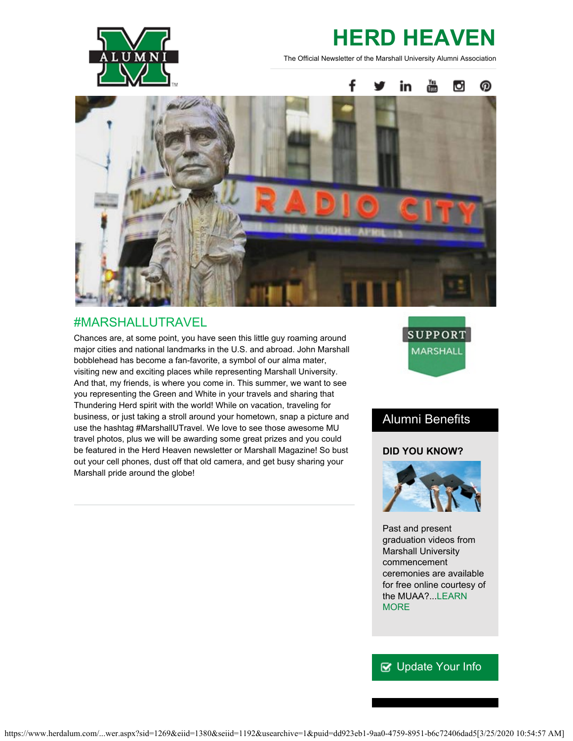

# **HERD HEAVEN**

The Official Newsletter of the Marshall University Alumni Association



## #MARSHALLUTRAVEL

Chances are, at some point, you have seen this little guy roaming around major cities and national landmarks in the U.S. and abroad. John Marshall bobblehead has become a fan-favorite, a symbol of our alma mater, visiting new and exciting places while representing Marshall University. And that, my friends, is where you come in. This summer, we want to see you representing the Green and White in your travels and sharing that Thundering Herd spirit with the world! While on vacation, traveling for business, or just taking a stroll around your hometown, snap a picture and use the hashtag #MarshallUTravel. We love to see those awesome MU travel photos, plus we will be awarding some great prizes and you could be featured in the Herd Heaven newsletter or Marshall Magazine! So bust out your cell phones, dust off that old camera, and get busy sharing your Marshall pride around the globe!



## Alumni Benefits

#### **DID YOU KNOW?**



Past and present graduation videos from Marshall University commencement ceremonies are available for free online courtesy of the MUAA?...[LEARN](http://www.herdalum.com/s/1269/index.aspx?sid=1269&gid=1&pgid=833) **[MORE](http://www.herdalum.com/s/1269/index.aspx?sid=1269&gid=1&pgid=833)** 

## **V** [Update Your Info](http://www.herdalum.com/s/1269/index.aspx?sid=1269&gid=1&pgid=6&cid=41#/Search/Simple)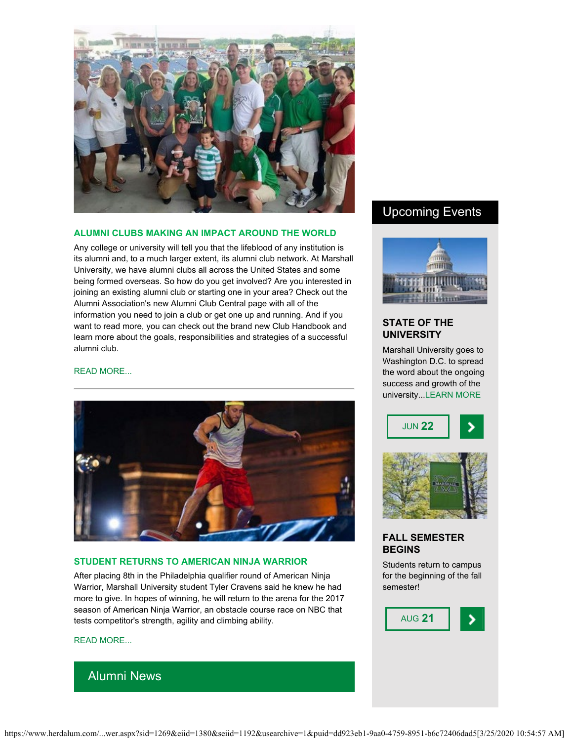

#### **ALUMNI CLUBS MAKING AN IMPACT AROUND THE WORLD**

Any college or university will tell you that the lifeblood of any institution is its alumni and, to a much larger extent, its alumni club network. At Marshall University, we have alumni clubs all across the United States and some being formed overseas. So how do you get involved? Are you interested in joining an existing alumni club or starting one in your area? Check out the Alumni Association's new Alumni Club Central page with all of the information you need to join a club or get one up and running. And if you want to read more, you can check out the brand new Club Handbook and learn more about the goals, responsibilities and strategies of a successful alumni club.

#### [READ MORE...](http://www.herdalum.com/s/1269/index.aspx?sid=1269&gid=1&pgid=896)



#### **STUDENT RETURNS TO AMERICAN NINJA WARRIOR**

After placing 8th in the Philadelphia qualifier round of American Ninja Warrior, Marshall University student Tyler Cravens said he knew he had more to give. In hopes of winning, he will return to the arena for the 2017 season of American Ninja Warrior, an obstacle course race on NBC that tests competitor's strength, agility and climbing ability.

#### [READ MORE...](https://www.marshall.edu/ucomm/2017/06/05/marshall-student-returns-nbcs-american-ninja-warrior/)

## Alumni News

### Upcoming Events



#### **STATE OF THE UNIVERSITY**

Marshall University goes to Washington D.C. to spread the word about the ongoing success and growth of the university..[.LEARN MORE](http://www.herdalum.com/s/1269/index.aspx?sid=1269&gid=1&pgid=695)





#### **FALL SEMESTER BEGINS**

Students return to campus for the beginning of the fall semester!

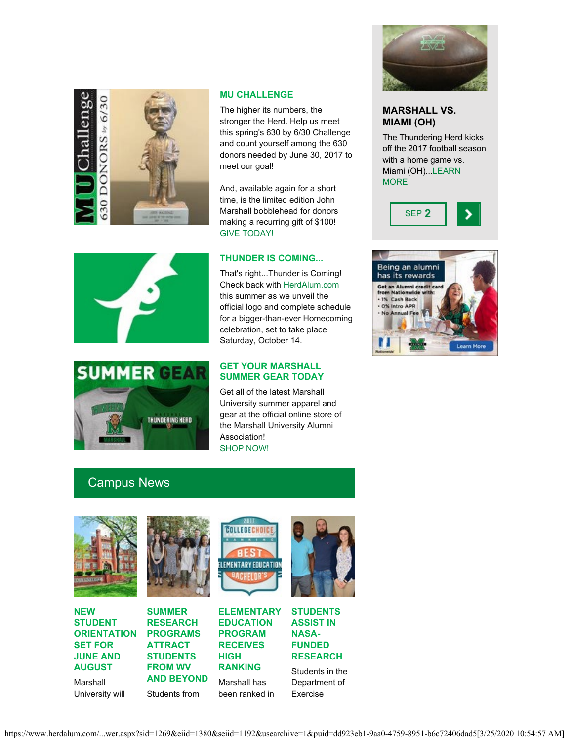

#### **MU CHALLENGE**

The higher its numbers, the stronger the Herd. Help us meet this spring's 630 by 6/30 Challenge and count yourself among the 630 donors needed by June 30, 2017 to meet our goal!

And, available again for a short time, is the limited edition John Marshall bobblehead for donors making a recurring gift of \$100! [GIVE TODAY!](https://donatenow.networkforgood.org/mufoundation?code=00089)

#### **THUNDER IS COMING...**

That's right...Thunder is Coming! Check back with [HerdAlum.com](http://www.herdalum.com/s/1269/start.aspx) this summer as we unveil the official logo and complete schedule for a bigger-than-ever Homecoming celebration, set to take place Saturday, October 14.

#### **GET YOUR MARSHALL SUMMER GEAR TODAY**

Get all of the latest Marshall University summer apparel and gear at the official online store of the Marshall University Alumni Association! [SHOP NOW!](http://www.fanatics.com/partnerid/14152?utm_source=wwwfanaticscom&utm_medium=bm_referral&utm_term=kw--CCD_MARSH|cpn--no_coupon|offer--no_offer)



#### **MARSHALL VS. MIAMI (OH)**

The Thundering Herd kicks off the 2017 football season with a home game vs. Miami (OH)..[.LEARN](http://www.herdzone.com/sports/m-footbl/sched/mars-m-footbl-sched.html) **[MORE](http://www.herdzone.com/sports/m-footbl/sched/mars-m-footbl-sched.html)** 









## Campus News



**NEW STUDENT ORIENTATION SET FOR JUNE AND AUGUST**

Marshall University will





Students from

LEMENTARY EDUCATION

**ELEMENTARY EDUCATION PROGRAM RECEIVES HIGH RANKING** Marshall has been ranked in

**COLLEGE CHOIC** 



**STUDENTS ASSIST IN NASA-FUNDED RESEARCH**

Students in the Department of Exercise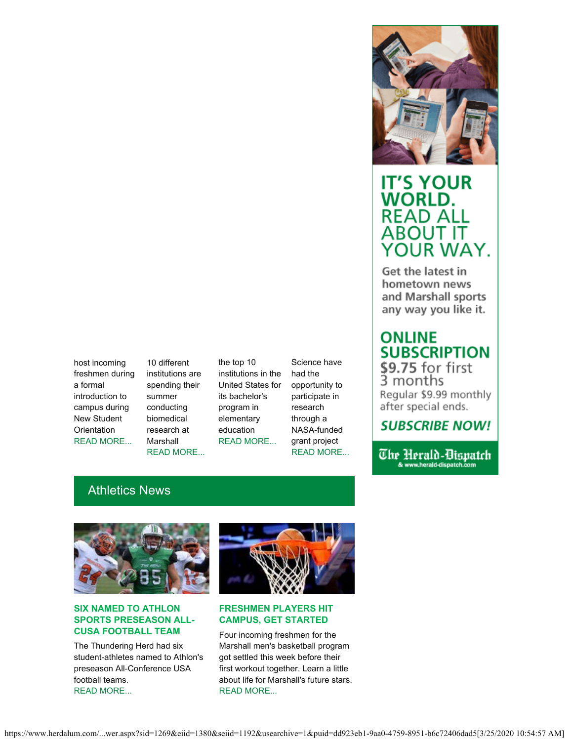host incoming freshmen during a formal introduction to campus during New Student **Orientation** [READ MORE...](https://www.marshall.edu/ucomm/2017/05/30/new-student-orientation-information-released-summer-2017/)

10 different institutions are spending their summer conducting biomedical research at Marshall [READ MORE...](https://www.marshall.edu/ucomm/2017/06/06/summer-research-programs-marshall-university-attract-students-west-virginia-beyond/)

the top 10 institutions in the United States for its bachelor's program in elementary education [READ MORE...](https://www.marshall.edu/ucomm/2017/05/26/marshalls-elementary-education-program-receives-high-ranking-college-choice/)

Science have had the opportunity to participate in research through a NASA-funded grant project

## [READ MORE...](https://www.marshall.edu/ucomm/2017/05/24/marshall-exercise-science-students-assist-nasa-funded-research/)



## **IT'S YOUR WORLD. READ ALL** ABOUT IT YOUR WAY.

Get the latest in hometown news and Marshall sports any way you like it.

# **ONLINE SUBSCRIPTION**

\$9.75 for first<br>3 months Regular \$9.99 monthly after special ends.

## **SUBSCRIBE NOW!**

The Herald-Dispatch & www.herald-dispatch.com

## Athletics News



#### **SIX NAMED TO ATHLON SPORTS PRESEASON ALL-CUSA FOOTBALL TEAM**

The Thundering Herd had six student-athletes named to Athlon's preseason All-Conference USA football teams. [READ MORE...](http://www.herdzone.com/sports/m-footbl/spec-rel/052617aac.html)



#### **FRESHMEN PLAYERS HIT CAMPUS, GET STARTED**

Four incoming freshmen for the Marshall men's basketball program got settled this week before their first workout together. Learn a little about life for Marshall's future stars. [READ MORE...](http://www.herdzone.com/sports/m-baskbl/spec-rel/060517aaa.html)